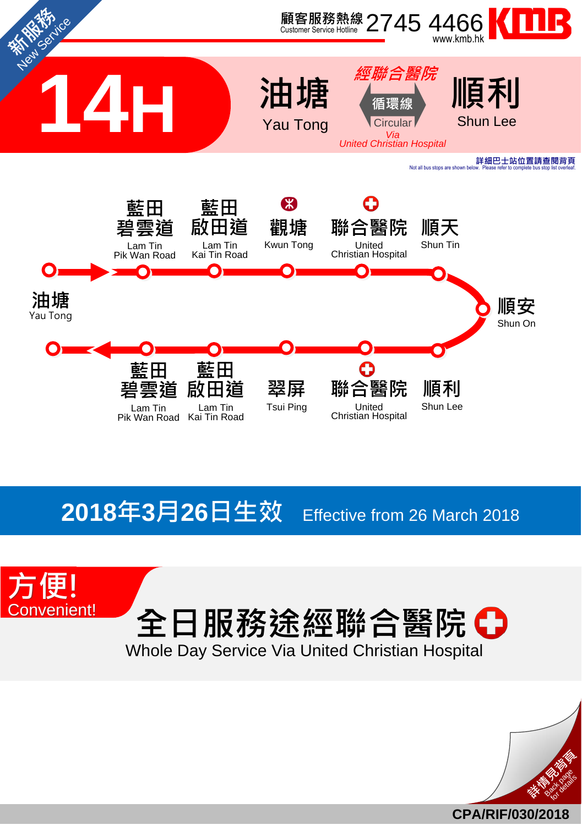

## **2018**年**3**月**26**日生效 Effective from <sup>26</sup> March <sup>2018</sup>